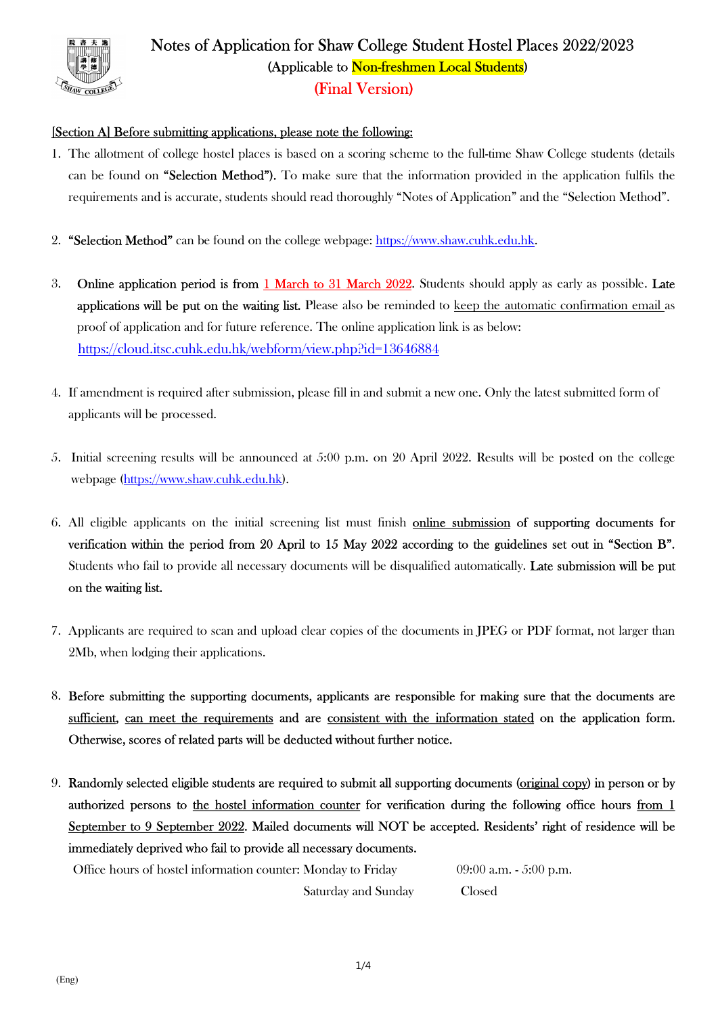

# Notes of Application for Shaw College Student Hostel Places 2022/2023 (Applicable to Non-freshmen Local Students) (Final Version)

### [Section A] Before submitting applications, please note the following:

- 1. The allotment of college hostel places is based on a scoring scheme to the full-time Shaw College students (details can be found on "Selection Method"). To make sure that the information provided in the application fulfils the requirements and is accurate, students should read thoroughly "Notes of Application" and the "Selection Method".
- 2. "Selection Method" can be found on the college webpage: https://www.shaw.cuhk.edu.hk.
- 3. Online application period is from 1 March to 31 March 2022. Students should apply as early as possible. Late applications will be put on the waiting list. Please also be reminded to keep the automatic confirmation email as proof of application and for future reference. The online application link is as below: https://cloud.itsc.cuhk.edu.hk/webform/view.php?id=13646884
- 4. If amendment is required after submission, please fill in and submit a new one. Only the latest submitted form of applicants will be processed.
- 5. Initial screening results will be announced at 5:00 p.m. on 20 April 2022. Results will be posted on the college webpage (https://www.shaw.cuhk.edu.hk).
- 6. All eligible applicants on the initial screening list must finish online submission of supporting documents for verification within the period from 20 April to 15 May 2022 according to the guidelines set out in "Section B". Students who fail to provide all necessary documents will be disqualified automatically. Late submission will be put on the waiting list.
- 7. Applicants are required to scan and upload clear copies of the documents in JPEG or PDF format, not larger than 2Mb, when lodging their applications.
- 8. Before submitting the supporting documents, applicants are responsible for making sure that the documents are sufficient, can meet the requirements and are consistent with the information stated on the application form. Otherwise, scores of related parts will be deducted without further notice.
- 9. Randomly selected eligible students are required to submit all supporting documents (original copy) in person or by authorized persons to the hostel information counter for verification during the following office hours from 1 September to 9 September 2022. Mailed documents will NOT be accepted. Residents' right of residence will be immediately deprived who fail to provide all necessary documents.

Office hours of hostel information counter: Monday to Friday 09:00 a.m. - 5:00 p.m. Saturday and Sunday Closed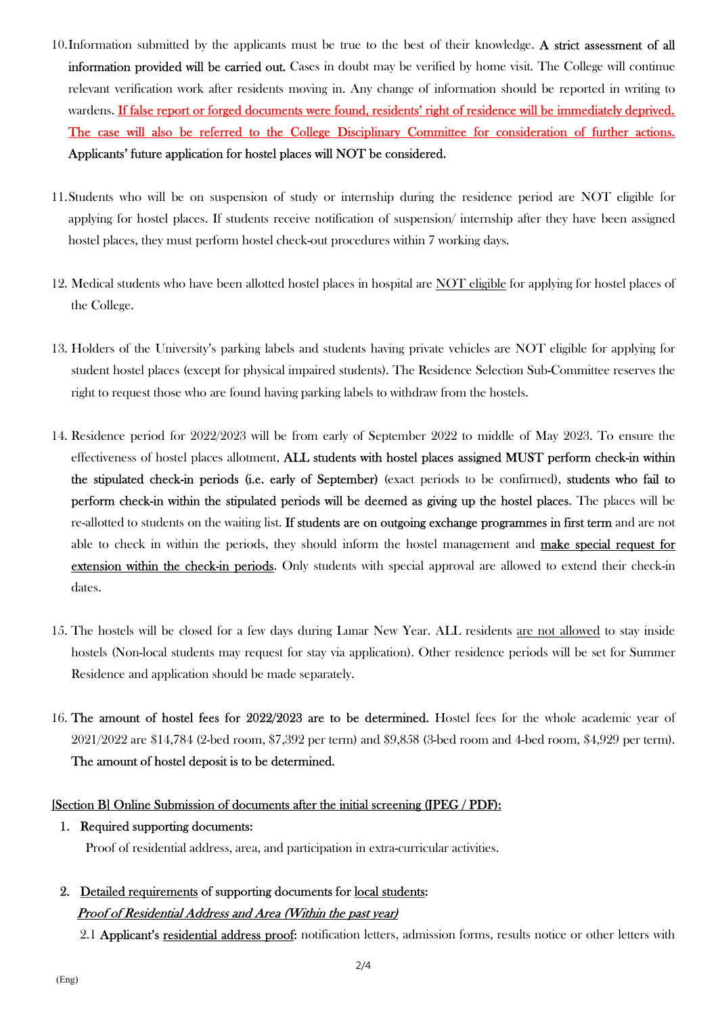- 10.Information submitted by the applicants must be true to the best of their knowledge. A strict assessment of all information provided will be carried out. Cases in doubt may be verified by home visit. The College will continue relevant verification work after residents moving in. Any change of information should be reported in writing to wardens. If false report or forged documents were found, residents' right of residence will be immediately deprived. The case will also be referred to the College Disciplinary Committee for consideration of further actions. Applicants' future application for hostel places will NOT be considered.
- 11.Students who will be on suspension of study or internship during the residence period are NOT eligible for applying for hostel places. If students receive notification of suspension/ internship after they have been assigned hostel places, they must perform hostel check-out procedures within 7 working days.
- 12. Medical students who have been allotted hostel places in hospital are NOT eligible for applying for hostel places of the College.
- 13. Holders of the University's parking labels and students having private vehicles are NOT eligible for applying for student hostel places (except for physical impaired students). The Residence Selection Sub-Committee reserves the right to request those who are found having parking labels to withdraw from the hostels.
- 14. Residence period for 2022/2023 will be from early of September 2022 to middle of May 2023. To ensure the effectiveness of hostel places allotment, ALL students with hostel places assigned MUST perform check-in within the stipulated check-in periods (i.e. early of September) (exact periods to be confirmed), students who fail to perform check-in within the stipulated periods will be deemed as giving up the hostel places. The places will be re-allotted to students on the waiting list. If students are on outgoing exchange programmes in first term and are not able to check in within the periods, they should inform the hostel management and **make special request for** extension within the check-in periods. Only students with special approval are allowed to extend their check-in dates.
- 15. The hostels will be closed for a few days during Lunar New Year. ALL residents are not allowed to stay inside hostels (Non-local students may request for stay via application). Other residence periods will be set for Summer Residence and application should be made separately.
- 16. The amount of hostel fees for 2022/2023 are to be determined. Hostel fees for the whole academic year of 2021/2022 are \$14,784 (2-bed room, \$7,392 per term) and \$9,858 (3-bed room and 4-bed room, \$4,929 per term). The amount of hostel deposit is to be determined.

#### [Section B] Online Submission of documents after the initial screening (JPEG / PDF):

1. Required supporting documents:

Proof of residential address, area, and participation in extra-curricular activities.

2. Detailed requirements of supporting documents for local students: Proof of Residential Address and Area (Within the past year)

2.1 Applicant's residential address proof: notification letters, admission forms, results notice or other letters with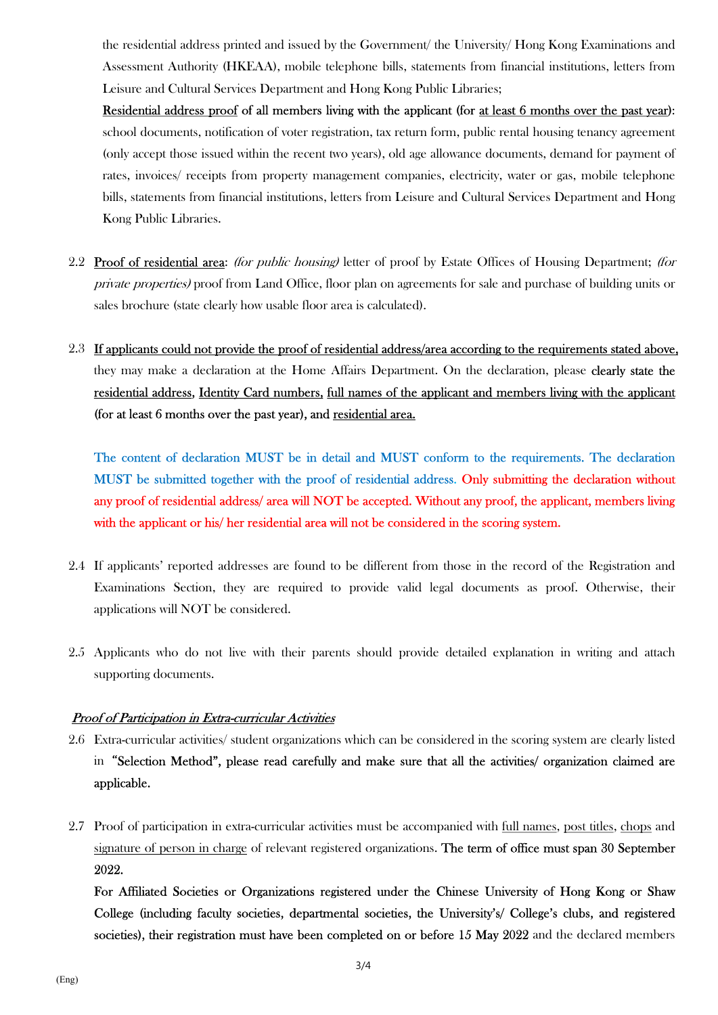the residential address printed and issued by the Government/ the University/ Hong Kong Examinations and Assessment Authority (HKEAA), mobile telephone bills, statements from financial institutions, letters from Leisure and Cultural Services Department and Hong Kong Public Libraries;

Residential address proof of all members living with the applicant (for at least 6 months over the past year): school documents, notification of voter registration, tax return form, public rental housing tenancy agreement (only accept those issued within the recent two years), old age allowance documents, demand for payment of rates, invoices/ receipts from property management companies, electricity, water or gas, mobile telephone bills, statements from financial institutions, letters from Leisure and Cultural Services Department and Hong Kong Public Libraries.

- 2.2 Proof of residential area: *(for public housing)* letter of proof by Estate Offices of Housing Department; *(for* private properties) proof from Land Office, floor plan on agreements for sale and purchase of building units or sales brochure (state clearly how usable floor area is calculated).
- 2.3 If applicants could not provide the proof of residential address/area according to the requirements stated above, they may make a declaration at the Home Affairs Department. On the declaration, please clearly state the residential address, Identity Card numbers, full names of the applicant and members living with the applicant (for at least 6 months over the past year), and residential area.

The content of declaration MUST be in detail and MUST conform to the requirements. The declaration MUST be submitted together with the proof of residential address. Only submitting the declaration without any proof of residential address/ area will NOT be accepted. Without any proof, the applicant, members living with the applicant or his/ her residential area will not be considered in the scoring system.

- 2.4 If applicants' reported addresses are found to be different from those in the record of the Registration and Examinations Section, they are required to provide valid legal documents as proof. Otherwise, their applications will NOT be considered.
- 2.5 Applicants who do not live with their parents should provide detailed explanation in writing and attach supporting documents.

#### Proof of Participation in Extra-curricular Activities

- 2.6 Extra-curricular activities/ student organizations which can be considered in the scoring system are clearly listed in"Selection Method", please read carefully and make sure that all the activities/ organization claimed are applicable.
- 2.7 Proof of participation in extra-curricular activities must be accompanied with full names, post titles, chops and signature of person in charge of relevant registered organizations. The term of office must span 30 September 2022.

For Affiliated Societies or Organizations registered under the Chinese University of Hong Kong or Shaw College (including faculty societies, departmental societies, the University's/ College's clubs, and registered societies), their registration must have been completed on or before 15 May 2022 and the declared members